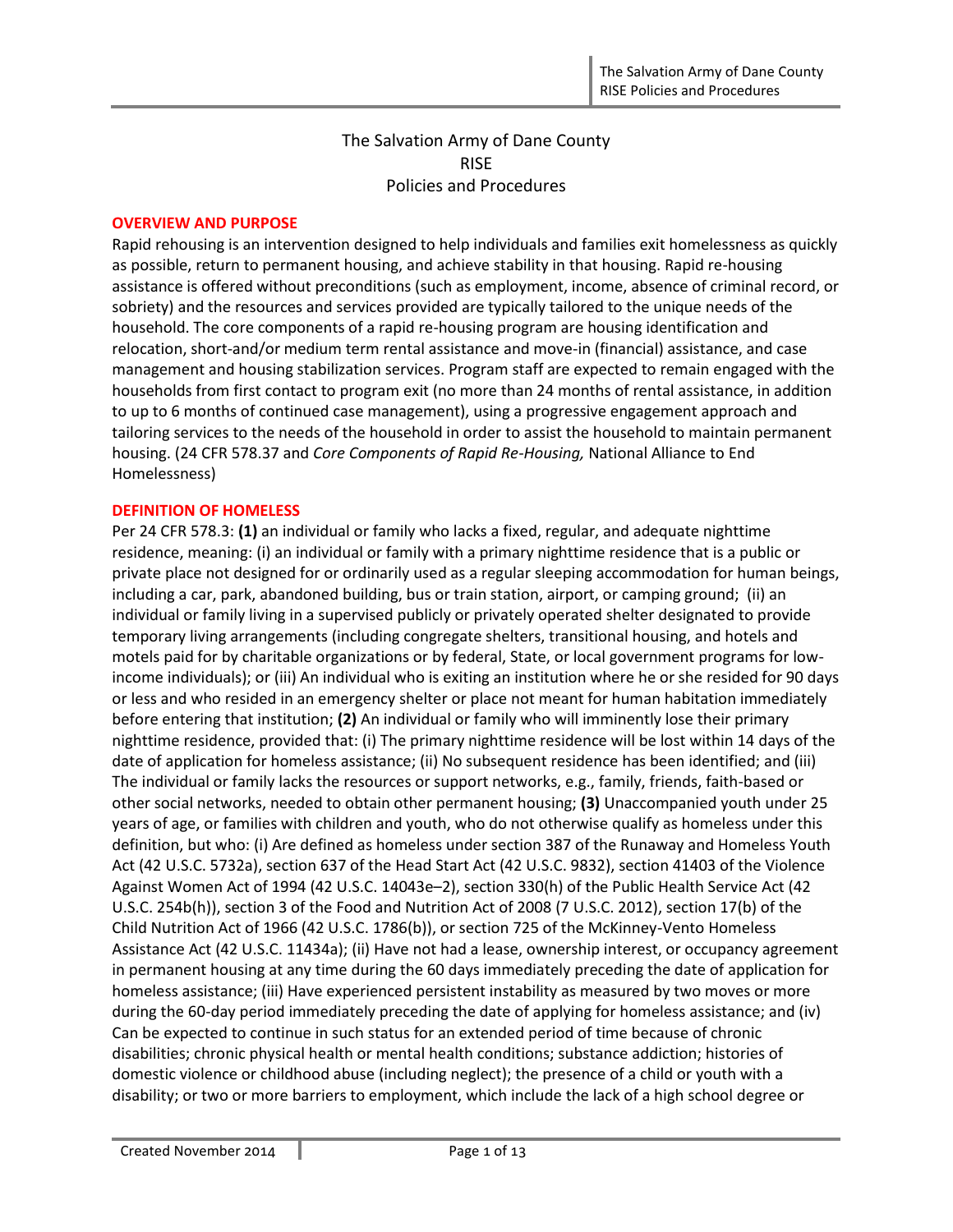# The Salvation Army of Dane County RISE Policies and Procedures

### **OVERVIEW AND PURPOSE**

Rapid rehousing is an intervention designed to help individuals and families exit homelessness as quickly as possible, return to permanent housing, and achieve stability in that housing. Rapid re-housing assistance is offered without preconditions (such as employment, income, absence of criminal record, or sobriety) and the resources and services provided are typically tailored to the unique needs of the household. The core components of a rapid re-housing program are housing identification and relocation, short-and/or medium term rental assistance and move-in (financial) assistance, and case management and housing stabilization services. Program staff are expected to remain engaged with the households from first contact to program exit (no more than 24 months of rental assistance, in addition to up to 6 months of continued case management), using a progressive engagement approach and tailoring services to the needs of the household in order to assist the household to maintain permanent housing. (24 CFR 578.37 and *Core Components of Rapid Re-Housing,* National Alliance to End Homelessness)

### **DEFINITION OF HOMELESS**

Per 24 CFR 578.3: **(1)** an individual or family who lacks a fixed, regular, and adequate nighttime residence, meaning: (i) an individual or family with a primary nighttime residence that is a public or private place not designed for or ordinarily used as a regular sleeping accommodation for human beings, including a car, park, abandoned building, bus or train station, airport, or camping ground; (ii) an individual or family living in a supervised publicly or privately operated shelter designated to provide temporary living arrangements (including congregate shelters, transitional housing, and hotels and motels paid for by charitable organizations or by federal, State, or local government programs for lowincome individuals); or (iii) An individual who is exiting an institution where he or she resided for 90 days or less and who resided in an emergency shelter or place not meant for human habitation immediately before entering that institution; **(2)** An individual or family who will imminently lose their primary nighttime residence, provided that: (i) The primary nighttime residence will be lost within 14 days of the date of application for homeless assistance; (ii) No subsequent residence has been identified; and (iii) The individual or family lacks the resources or support networks, e.g., family, friends, faith-based or other social networks, needed to obtain other permanent housing; **(3)** Unaccompanied youth under 25 years of age, or families with children and youth, who do not otherwise qualify as homeless under this definition, but who: (i) Are defined as homeless under section 387 of the Runaway and Homeless Youth Act (42 U.S.C. 5732a), section 637 of the Head Start Act (42 U.S.C. 9832), section 41403 of the Violence Against Women Act of 1994 (42 U.S.C. 14043e–2), section 330(h) of the Public Health Service Act (42 U.S.C. 254b(h)), section 3 of the Food and Nutrition Act of 2008 (7 U.S.C. 2012), section 17(b) of the Child Nutrition Act of 1966 (42 U.S.C. 1786(b)), or section 725 of the McKinney-Vento Homeless Assistance Act (42 U.S.C. 11434a); (ii) Have not had a lease, ownership interest, or occupancy agreement in permanent housing at any time during the 60 days immediately preceding the date of application for homeless assistance; (iii) Have experienced persistent instability as measured by two moves or more during the 60-day period immediately preceding the date of applying for homeless assistance; and (iv) Can be expected to continue in such status for an extended period of time because of chronic disabilities; chronic physical health or mental health conditions; substance addiction; histories of domestic violence or childhood abuse (including neglect); the presence of a child or youth with a disability; or two or more barriers to employment, which include the lack of a high school degree or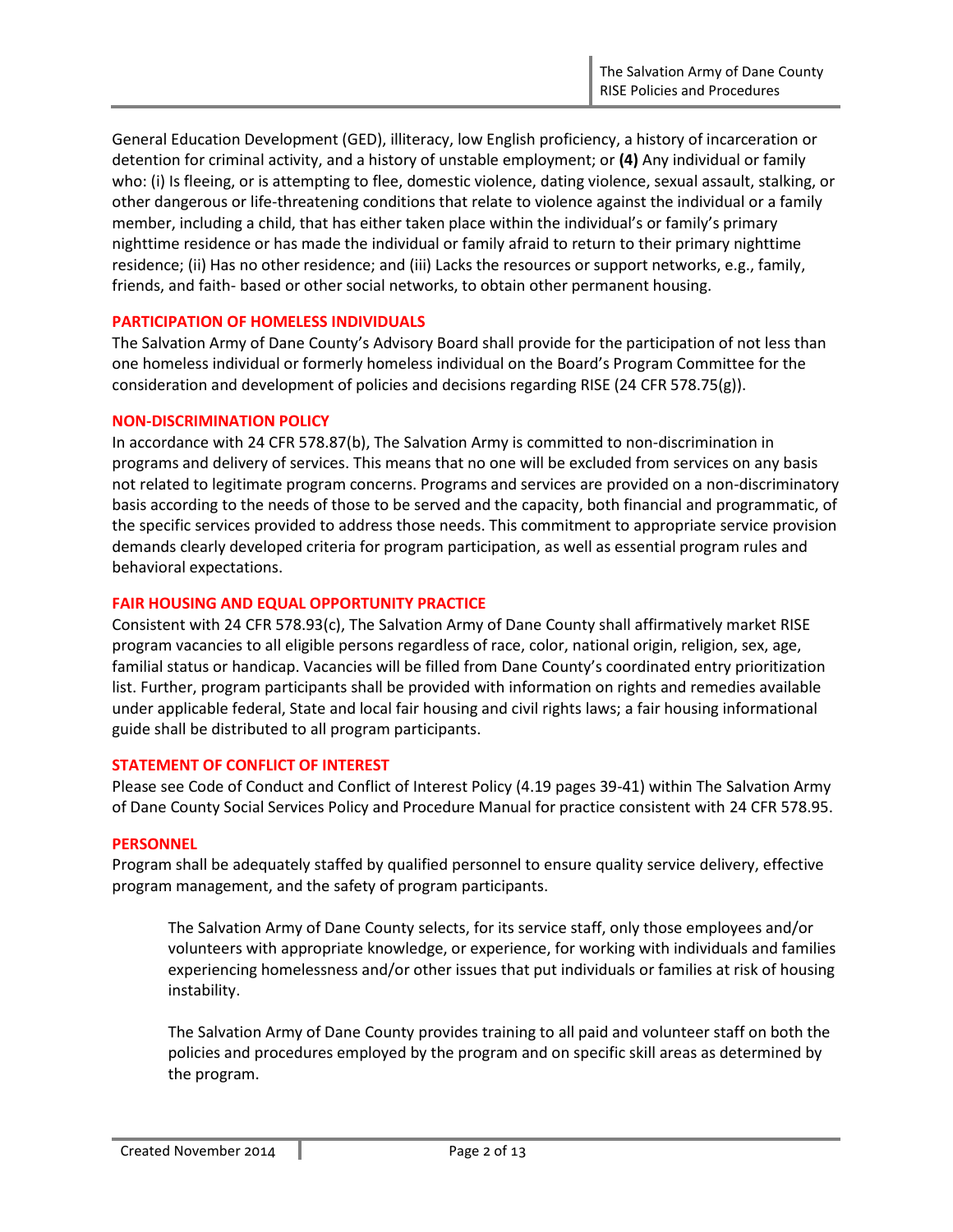General Education Development (GED), illiteracy, low English proficiency, a history of incarceration or detention for criminal activity, and a history of unstable employment; or **(4)** Any individual or family who: (i) Is fleeing, or is attempting to flee, domestic violence, dating violence, sexual assault, stalking, or other dangerous or life-threatening conditions that relate to violence against the individual or a family member, including a child, that has either taken place within the individual's or family's primary nighttime residence or has made the individual or family afraid to return to their primary nighttime residence; (ii) Has no other residence; and (iii) Lacks the resources or support networks, e.g., family, friends, and faith- based or other social networks, to obtain other permanent housing.

### **PARTICIPATION OF HOMELESS INDIVIDUALS**

The Salvation Army of Dane County's Advisory Board shall provide for the participation of not less than one homeless individual or formerly homeless individual on the Board's Program Committee for the consideration and development of policies and decisions regarding RISE (24 CFR 578.75(g)).

### **NON-DISCRIMINATION POLICY**

In accordance with 24 CFR 578.87(b), The Salvation Army is committed to non-discrimination in programs and delivery of services. This means that no one will be excluded from services on any basis not related to legitimate program concerns. Programs and services are provided on a non-discriminatory basis according to the needs of those to be served and the capacity, both financial and programmatic, of the specific services provided to address those needs. This commitment to appropriate service provision demands clearly developed criteria for program participation, as well as essential program rules and behavioral expectations.

### **FAIR HOUSING AND EQUAL OPPORTUNITY PRACTICE**

Consistent with 24 CFR 578.93(c), The Salvation Army of Dane County shall affirmatively market RISE program vacancies to all eligible persons regardless of race, color, national origin, religion, sex, age, familial status or handicap. Vacancies will be filled from Dane County's coordinated entry prioritization list. Further, program participants shall be provided with information on rights and remedies available under applicable federal, State and local fair housing and civil rights laws; a fair housing informational guide shall be distributed to all program participants.

### **STATEMENT OF CONFLICT OF INTEREST**

Please see Code of Conduct and Conflict of Interest Policy (4.19 pages 39-41) within The Salvation Army of Dane County Social Services Policy and Procedure Manual for practice consistent with 24 CFR 578.95.

### **PERSONNEL**

Program shall be adequately staffed by qualified personnel to ensure quality service delivery, effective program management, and the safety of program participants.

The Salvation Army of Dane County selects, for its service staff, only those employees and/or volunteers with appropriate knowledge, or experience, for working with individuals and families experiencing homelessness and/or other issues that put individuals or families at risk of housing instability.

The Salvation Army of Dane County provides training to all paid and volunteer staff on both the policies and procedures employed by the program and on specific skill areas as determined by the program.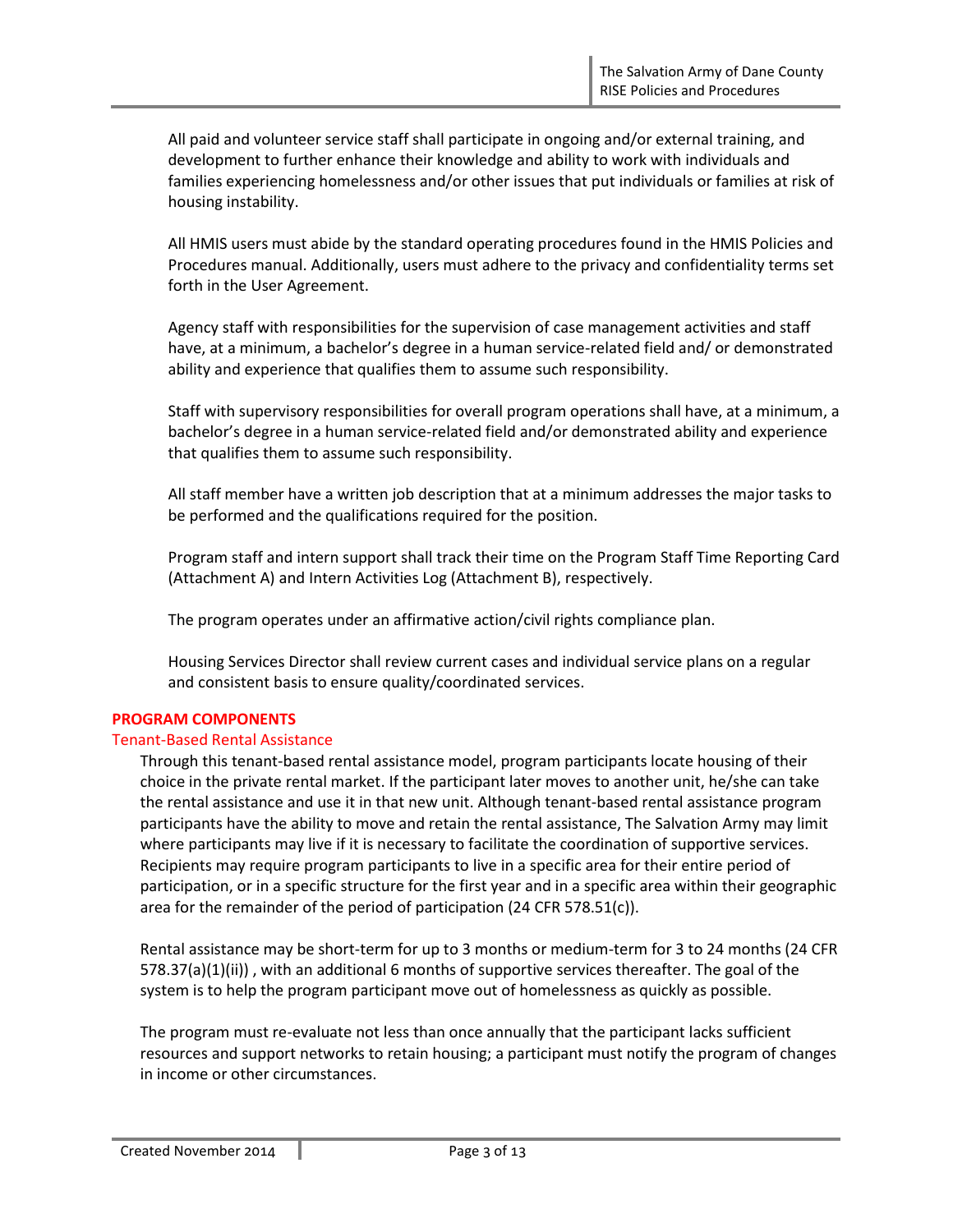All paid and volunteer service staff shall participate in ongoing and/or external training, and development to further enhance their knowledge and ability to work with individuals and families experiencing homelessness and/or other issues that put individuals or families at risk of housing instability.

All HMIS users must abide by the standard operating procedures found in the HMIS Policies and Procedures manual. Additionally, users must adhere to the privacy and confidentiality terms set forth in the User Agreement.

Agency staff with responsibilities for the supervision of case management activities and staff have, at a minimum, a bachelor's degree in a human service-related field and/ or demonstrated ability and experience that qualifies them to assume such responsibility.

Staff with supervisory responsibilities for overall program operations shall have, at a minimum, a bachelor's degree in a human service-related field and/or demonstrated ability and experience that qualifies them to assume such responsibility.

All staff member have a written job description that at a minimum addresses the major tasks to be performed and the qualifications required for the position.

Program staff and intern support shall track their time on the Program Staff Time Reporting Card (Attachment A) and Intern Activities Log (Attachment B), respectively.

The program operates under an affirmative action/civil rights compliance plan.

Housing Services Director shall review current cases and individual service plans on a regular and consistent basis to ensure quality/coordinated services.

### **PROGRAM COMPONENTS**

### Tenant-Based Rental Assistance

Through this tenant-based rental assistance model, program participants locate housing of their choice in the private rental market. If the participant later moves to another unit, he/she can take the rental assistance and use it in that new unit. Although tenant-based rental assistance program participants have the ability to move and retain the rental assistance, The Salvation Army may limit where participants may live if it is necessary to facilitate the coordination of supportive services. Recipients may require program participants to live in a specific area for their entire period of participation, or in a specific structure for the first year and in a specific area within their geographic area for the remainder of the period of participation (24 CFR 578.51(c)).

Rental assistance may be short-term for up to 3 months or medium-term for 3 to 24 months (24 CFR 578.37(a)(1)(ii)) , with an additional 6 months of supportive services thereafter. The goal of the system is to help the program participant move out of homelessness as quickly as possible.

The program must re-evaluate not less than once annually that the participant lacks sufficient resources and support networks to retain housing; a participant must notify the program of changes in income or other circumstances.

Created November 2014 | Page 3 of 13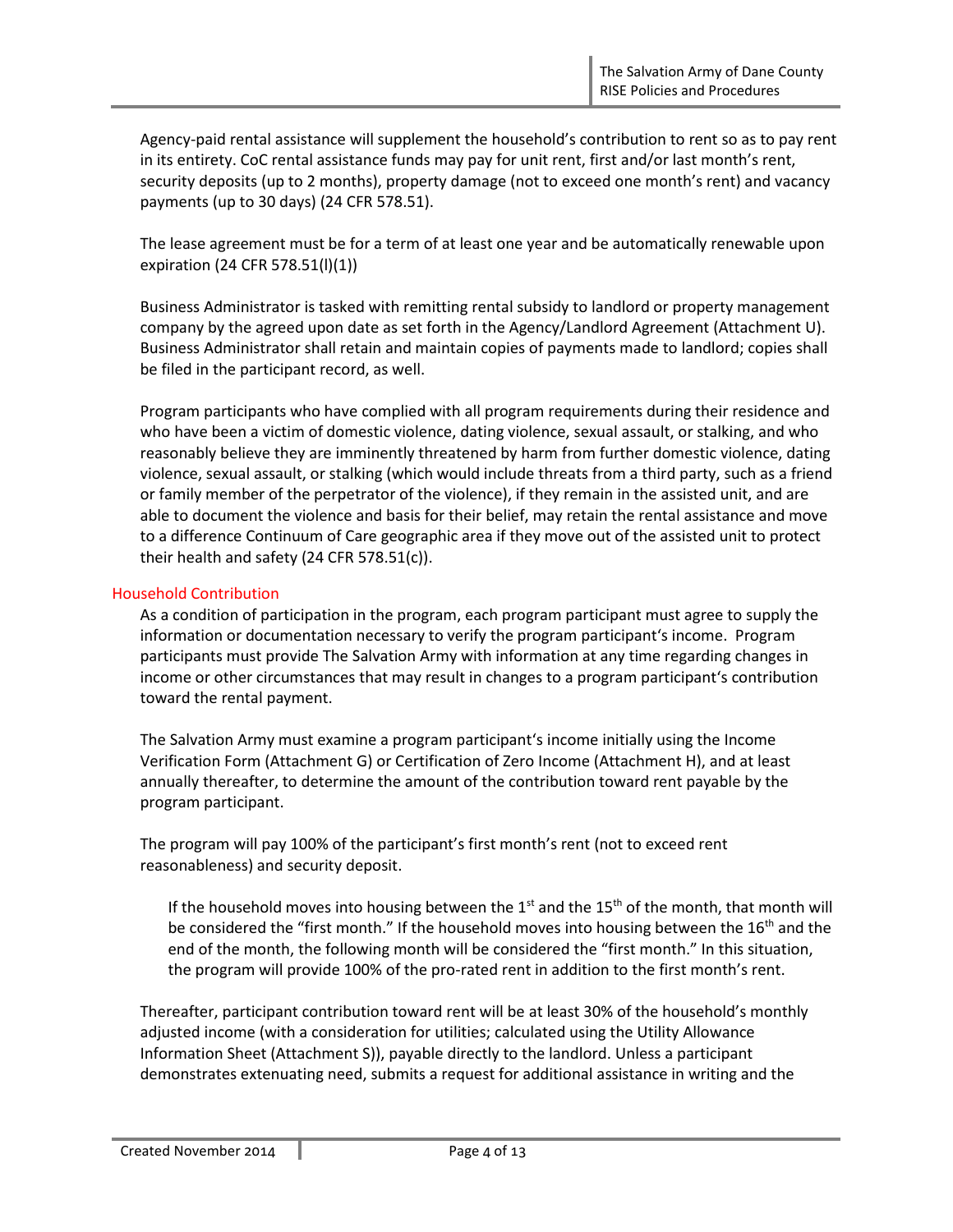Agency-paid rental assistance will supplement the household's contribution to rent so as to pay rent in its entirety. CoC rental assistance funds may pay for unit rent, first and/or last month's rent, security deposits (up to 2 months), property damage (not to exceed one month's rent) and vacancy payments (up to 30 days) (24 CFR 578.51).

The lease agreement must be for a term of at least one year and be automatically renewable upon expiration (24 CFR 578.51(l)(1))

Business Administrator is tasked with remitting rental subsidy to landlord or property management company by the agreed upon date as set forth in the Agency/Landlord Agreement (Attachment U). Business Administrator shall retain and maintain copies of payments made to landlord; copies shall be filed in the participant record, as well.

Program participants who have complied with all program requirements during their residence and who have been a victim of domestic violence, dating violence, sexual assault, or stalking, and who reasonably believe they are imminently threatened by harm from further domestic violence, dating violence, sexual assault, or stalking (which would include threats from a third party, such as a friend or family member of the perpetrator of the violence), if they remain in the assisted unit, and are able to document the violence and basis for their belief, may retain the rental assistance and move to a difference Continuum of Care geographic area if they move out of the assisted unit to protect their health and safety (24 CFR 578.51(c)).

### Household Contribution

As a condition of participation in the program, each program participant must agree to supply the information or documentation necessary to verify the program participant's income. Program participants must provide The Salvation Army with information at any time regarding changes in income or other circumstances that may result in changes to a program participant's contribution toward the rental payment.

The Salvation Army must examine a program participant's income initially using the Income Verification Form (Attachment G) or Certification of Zero Income (Attachment H), and at least annually thereafter, to determine the amount of the contribution toward rent payable by the program participant.

The program will pay 100% of the participant's first month's rent (not to exceed rent reasonableness) and security deposit.

If the household moves into housing between the  $1<sup>st</sup>$  and the  $15<sup>th</sup>$  of the month, that month will be considered the "first month." If the household moves into housing between the  $16<sup>th</sup>$  and the end of the month, the following month will be considered the "first month." In this situation, the program will provide 100% of the pro-rated rent in addition to the first month's rent.

Thereafter, participant contribution toward rent will be at least 30% of the household's monthly adjusted income (with a consideration for utilities; calculated using the Utility Allowance Information Sheet (Attachment S)), payable directly to the landlord. Unless a participant demonstrates extenuating need, submits a request for additional assistance in writing and the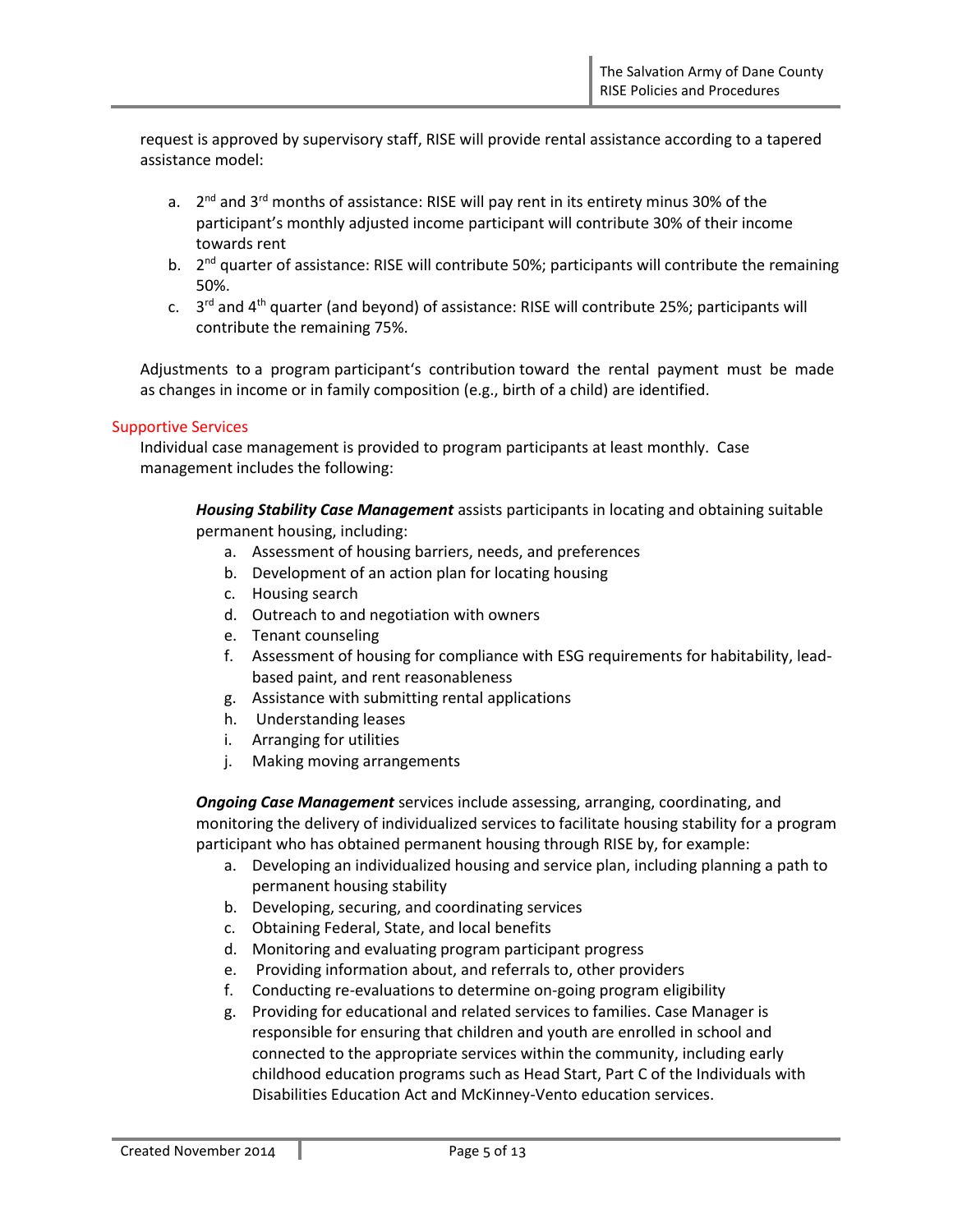request is approved by supervisory staff, RISE will provide rental assistance according to a tapered assistance model:

- a. 2<sup>nd</sup> and 3<sup>rd</sup> months of assistance: RISE will pay rent in its entirety minus 30% of the participant's monthly adjusted income participant will contribute 30% of their income towards rent
- b. 2<sup>nd</sup> quarter of assistance: RISE will contribute 50%; participants will contribute the remaining 50%.
- c. 3<sup>rd</sup> and 4<sup>th</sup> quarter (and beyond) of assistance: RISE will contribute 25%; participants will contribute the remaining 75%.

Adjustments to a program participant's contribution toward the rental payment must be made as changes in income or in family composition (e.g., birth of a child) are identified.

### Supportive Services

Individual case management is provided to program participants at least monthly. Case management includes the following:

*Housing Stability Case Management* assists participants in locating and obtaining suitable permanent housing, including:

- a. Assessment of housing barriers, needs, and preferences
- b. Development of an action plan for locating housing
- c. Housing search
- d. Outreach to and negotiation with owners
- e. Tenant counseling
- f. Assessment of housing for compliance with ESG requirements for habitability, leadbased paint, and rent reasonableness
- g. Assistance with submitting rental applications
- h. Understanding leases
- i. Arranging for utilities
- j. Making moving arrangements

*Ongoing Case Management* services include assessing, arranging, coordinating, and monitoring the delivery of individualized services to facilitate housing stability for a program participant who has obtained permanent housing through RISE by, for example:

- a. Developing an individualized housing and service plan, including planning a path to permanent housing stability
- b. Developing, securing, and coordinating services
- c. Obtaining Federal, State, and local benefits
- d. Monitoring and evaluating program participant progress
- e. Providing information about, and referrals to, other providers
- f. Conducting re-evaluations to determine on-going program eligibility
- g. Providing for educational and related services to families. Case Manager is responsible for ensuring that children and youth are enrolled in school and connected to the appropriate services within the community, including early childhood education programs such as Head Start, Part C of the Individuals with Disabilities Education Act and McKinney-Vento education services.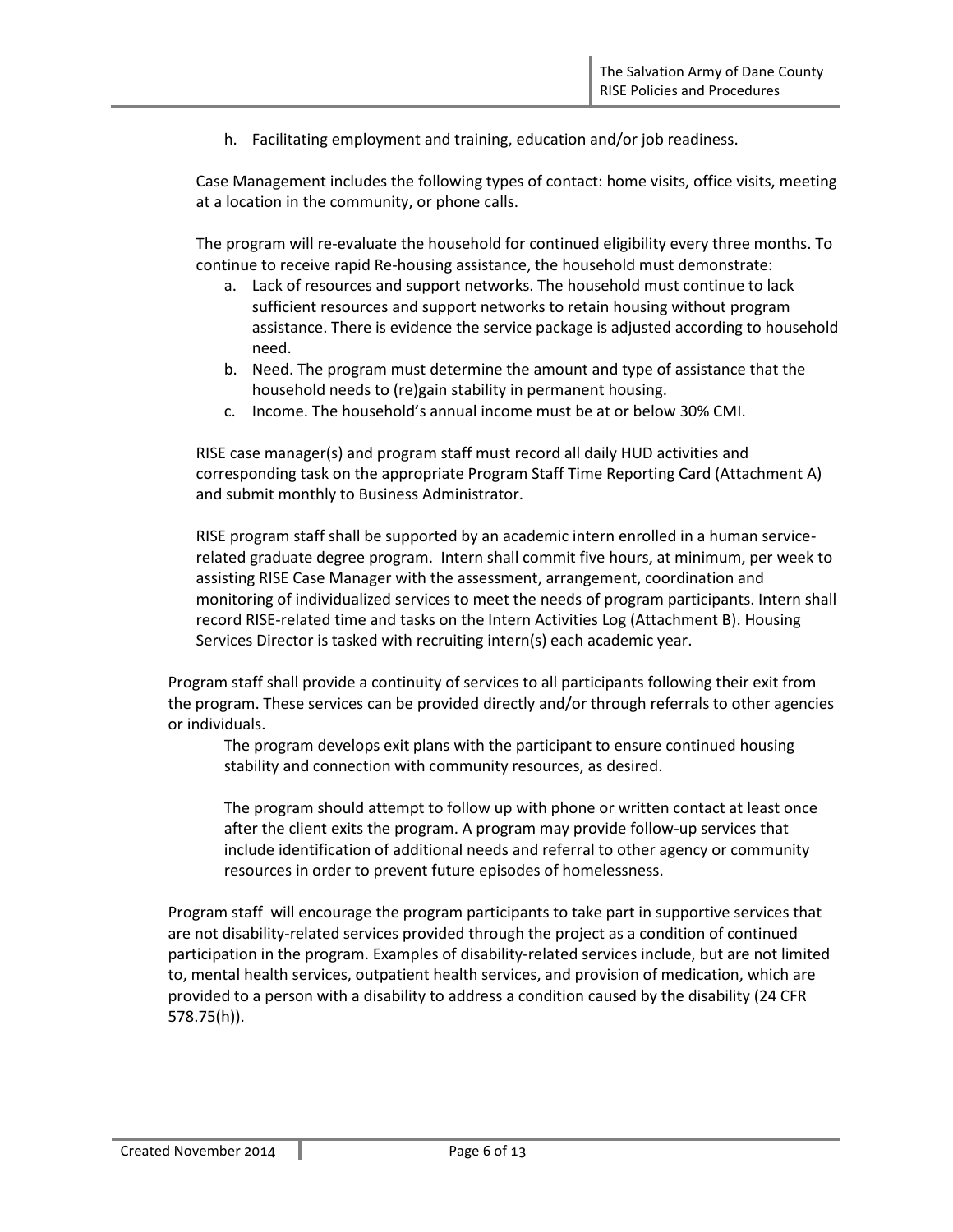h. Facilitating employment and training, education and/or job readiness.

Case Management includes the following types of contact: home visits, office visits, meeting at a location in the community, or phone calls.

The program will re-evaluate the household for continued eligibility every three months. To continue to receive rapid Re-housing assistance, the household must demonstrate:

- a. Lack of resources and support networks. The household must continue to lack sufficient resources and support networks to retain housing without program assistance. There is evidence the service package is adjusted according to household need.
- b. Need. The program must determine the amount and type of assistance that the household needs to (re)gain stability in permanent housing.
- c. Income. The household's annual income must be at or below 30% CMI.

RISE case manager(s) and program staff must record all daily HUD activities and corresponding task on the appropriate Program Staff Time Reporting Card (Attachment A) and submit monthly to Business Administrator.

RISE program staff shall be supported by an academic intern enrolled in a human servicerelated graduate degree program. Intern shall commit five hours, at minimum, per week to assisting RISE Case Manager with the assessment, arrangement, coordination and monitoring of individualized services to meet the needs of program participants. Intern shall record RISE-related time and tasks on the Intern Activities Log (Attachment B). Housing Services Director is tasked with recruiting intern(s) each academic year.

Program staff shall provide a continuity of services to all participants following their exit from the program. These services can be provided directly and/or through referrals to other agencies or individuals.

The program develops exit plans with the participant to ensure continued housing stability and connection with community resources, as desired.

The program should attempt to follow up with phone or written contact at least once after the client exits the program. A program may provide follow-up services that include identification of additional needs and referral to other agency or community resources in order to prevent future episodes of homelessness.

Program staff will encourage the program participants to take part in supportive services that are not disability-related services provided through the project as a condition of continued participation in the program. Examples of disability-related services include, but are not limited to, mental health services, outpatient health services, and provision of medication, which are provided to a person with a disability to address a condition caused by the disability (24 CFR 578.75(h)).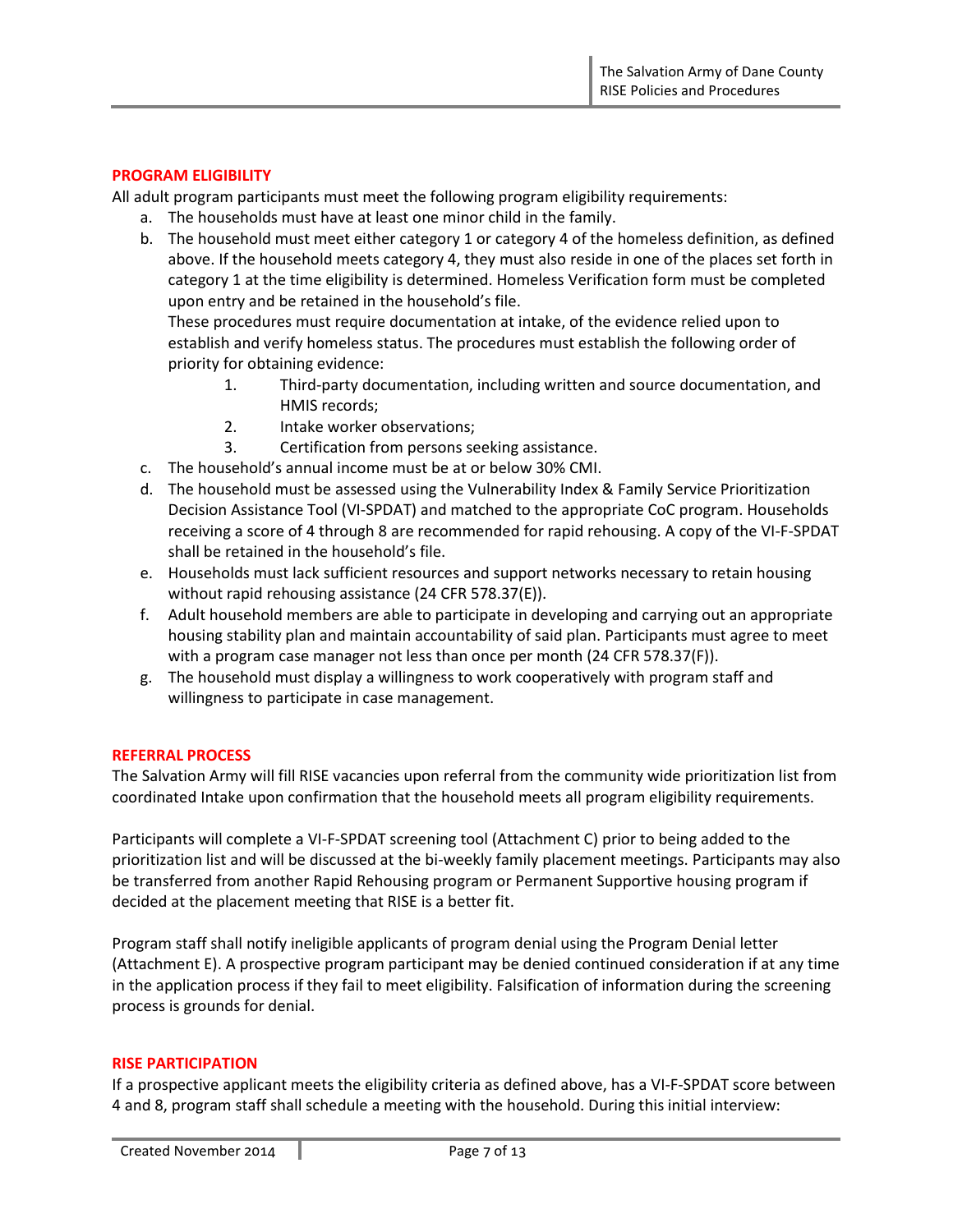### **PROGRAM ELIGIBILITY**

All adult program participants must meet the following program eligibility requirements:

- a. The households must have at least one minor child in the family.
- b. The household must meet either category 1 or category 4 of the homeless definition, as defined above. If the household meets category 4, they must also reside in one of the places set forth in category 1 at the time eligibility is determined. Homeless Verification form must be completed upon entry and be retained in the household's file.

These procedures must require documentation at intake, of the evidence relied upon to establish and verify homeless status. The procedures must establish the following order of priority for obtaining evidence:

- 1. Third-party documentation, including written and source documentation, and HMIS records;
- 2. Intake worker observations;
- 3. Certification from persons seeking assistance.
- c. The household's annual income must be at or below 30% CMI.
- d. The household must be assessed using the Vulnerability Index & Family Service Prioritization Decision Assistance Tool (VI-SPDAT) and matched to the appropriate CoC program. Households receiving a score of 4 through 8 are recommended for rapid rehousing. A copy of the VI-F-SPDAT shall be retained in the household's file.
- e. Households must lack sufficient resources and support networks necessary to retain housing without rapid rehousing assistance (24 CFR 578.37(E)).
- f. Adult household members are able to participate in developing and carrying out an appropriate housing stability plan and maintain accountability of said plan. Participants must agree to meet with a program case manager not less than once per month (24 CFR 578.37(F)).
- g. The household must display a willingness to work cooperatively with program staff and willingness to participate in case management.

### **REFERRAL PROCESS**

The Salvation Army will fill RISE vacancies upon referral from the community wide prioritization list from coordinated Intake upon confirmation that the household meets all program eligibility requirements.

Participants will complete a VI-F-SPDAT screening tool (Attachment C) prior to being added to the prioritization list and will be discussed at the bi-weekly family placement meetings. Participants may also be transferred from another Rapid Rehousing program or Permanent Supportive housing program if decided at the placement meeting that RISE is a better fit.

Program staff shall notify ineligible applicants of program denial using the Program Denial letter (Attachment E). A prospective program participant may be denied continued consideration if at any time in the application process if they fail to meet eligibility. Falsification of information during the screening process is grounds for denial.

### **RISE PARTICIPATION**

If a prospective applicant meets the eligibility criteria as defined above, has a VI-F-SPDAT score between 4 and 8, program staff shall schedule a meeting with the household. During this initial interview: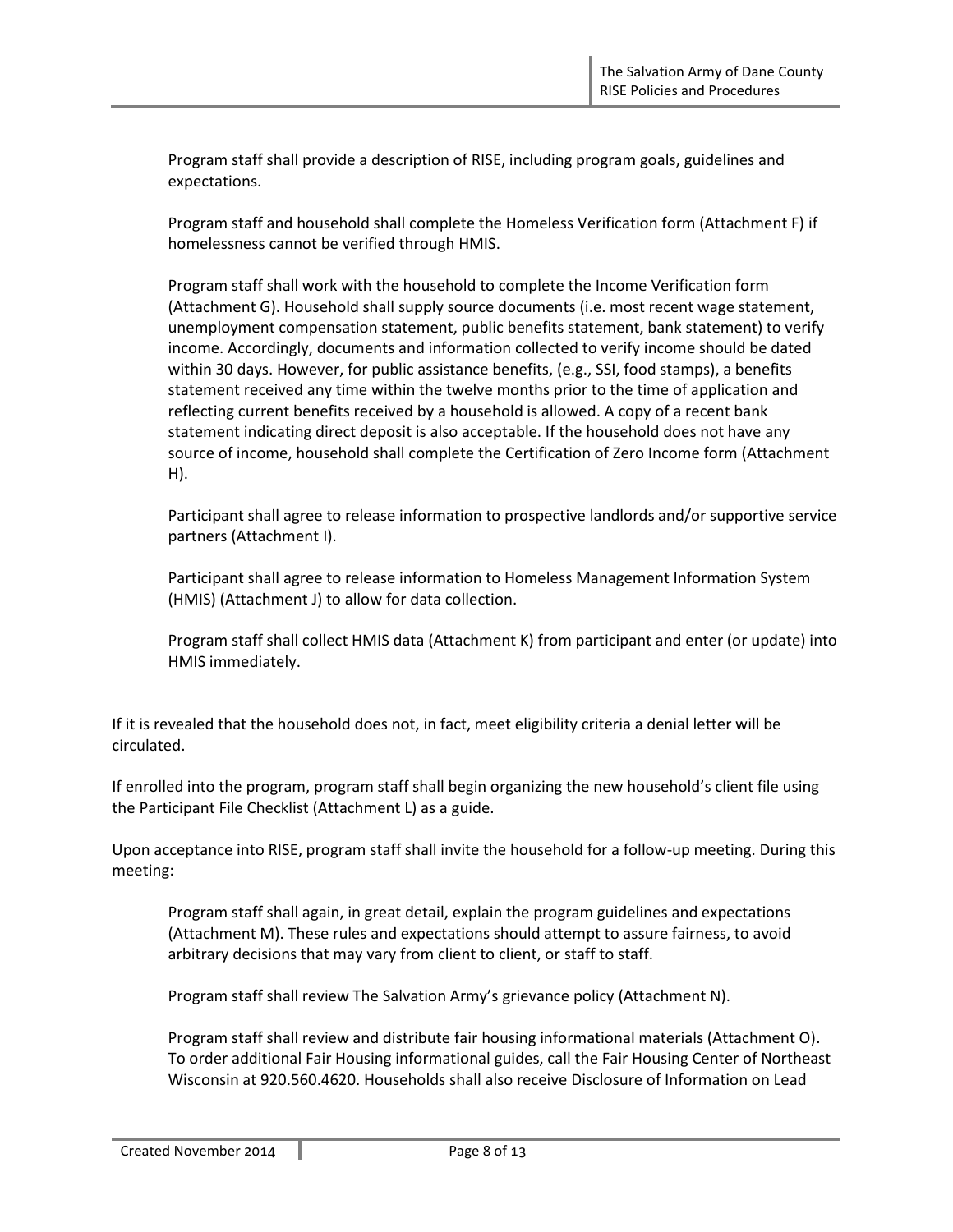Program staff shall provide a description of RISE, including program goals, guidelines and expectations.

Program staff and household shall complete the Homeless Verification form (Attachment F) if homelessness cannot be verified through HMIS.

Program staff shall work with the household to complete the Income Verification form (Attachment G). Household shall supply source documents (i.e. most recent wage statement, unemployment compensation statement, public benefits statement, bank statement) to verify income. Accordingly, documents and information collected to verify income should be dated within 30 days. However, for public assistance benefits, (e.g., SSI, food stamps), a benefits statement received any time within the twelve months prior to the time of application and reflecting current benefits received by a household is allowed. A copy of a recent bank statement indicating direct deposit is also acceptable. If the household does not have any source of income, household shall complete the Certification of Zero Income form (Attachment H).

Participant shall agree to release information to prospective landlords and/or supportive service partners (Attachment I).

Participant shall agree to release information to Homeless Management Information System (HMIS) (Attachment J) to allow for data collection.

Program staff shall collect HMIS data (Attachment K) from participant and enter (or update) into HMIS immediately.

If it is revealed that the household does not, in fact, meet eligibility criteria a denial letter will be circulated.

If enrolled into the program, program staff shall begin organizing the new household's client file using the Participant File Checklist (Attachment L) as a guide.

Upon acceptance into RISE, program staff shall invite the household for a follow-up meeting. During this meeting:

Program staff shall again, in great detail, explain the program guidelines and expectations (Attachment M). These rules and expectations should attempt to assure fairness, to avoid arbitrary decisions that may vary from client to client, or staff to staff.

Program staff shall review The Salvation Army's grievance policy (Attachment N).

Program staff shall review and distribute fair housing informational materials (Attachment O). To order additional Fair Housing informational guides, call the Fair Housing Center of Northeast Wisconsin at 920.560.4620. Households shall also receive Disclosure of Information on Lead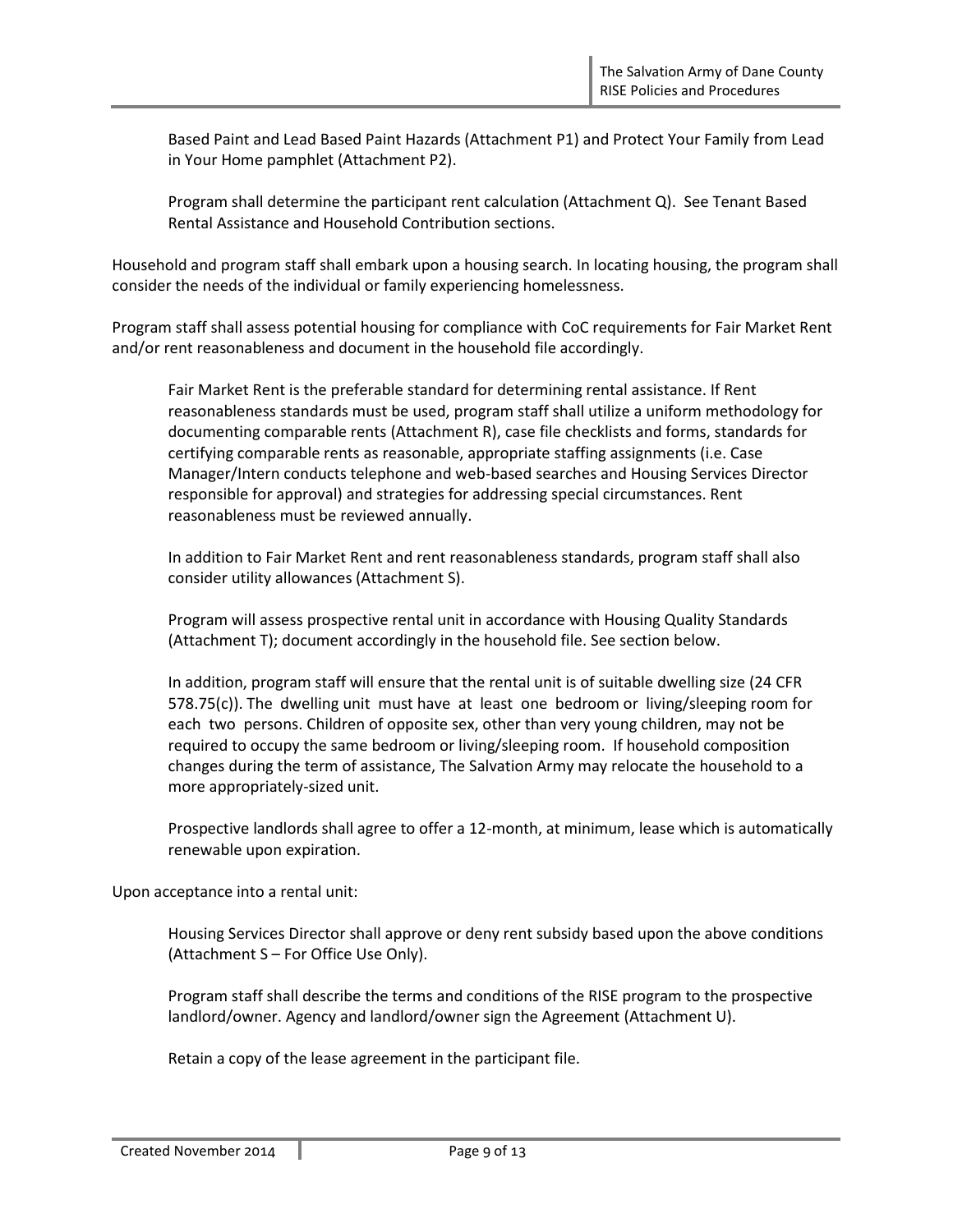Based Paint and Lead Based Paint Hazards (Attachment P1) and Protect Your Family from Lead in Your Home pamphlet (Attachment P2).

Program shall determine the participant rent calculation (Attachment Q). See Tenant Based Rental Assistance and Household Contribution sections.

Household and program staff shall embark upon a housing search. In locating housing, the program shall consider the needs of the individual or family experiencing homelessness.

Program staff shall assess potential housing for compliance with CoC requirements for Fair Market Rent and/or rent reasonableness and document in the household file accordingly.

Fair Market Rent is the preferable standard for determining rental assistance. If Rent reasonableness standards must be used, program staff shall utilize a uniform methodology for documenting comparable rents (Attachment R), case file checklists and forms, standards for certifying comparable rents as reasonable, appropriate staffing assignments (i.e. Case Manager/Intern conducts telephone and web-based searches and Housing Services Director responsible for approval) and strategies for addressing special circumstances. Rent reasonableness must be reviewed annually.

In addition to Fair Market Rent and rent reasonableness standards, program staff shall also consider utility allowances (Attachment S).

Program will assess prospective rental unit in accordance with Housing Quality Standards (Attachment T); document accordingly in the household file. See section below.

In addition, program staff will ensure that the rental unit is of suitable dwelling size (24 CFR 578.75(c)). The dwelling unit must have at least one bedroom or living/sleeping room for each two persons. Children of opposite sex, other than very young children, may not be required to occupy the same bedroom or living/sleeping room. If household composition changes during the term of assistance, The Salvation Army may relocate the household to a more appropriately-sized unit.

Prospective landlords shall agree to offer a 12-month, at minimum, lease which is automatically renewable upon expiration.

Upon acceptance into a rental unit:

Housing Services Director shall approve or deny rent subsidy based upon the above conditions (Attachment S – For Office Use Only).

Program staff shall describe the terms and conditions of the RISE program to the prospective landlord/owner. Agency and landlord/owner sign the Agreement (Attachment U).

Retain a copy of the lease agreement in the participant file.

Created November 2014 | Page 9 of 13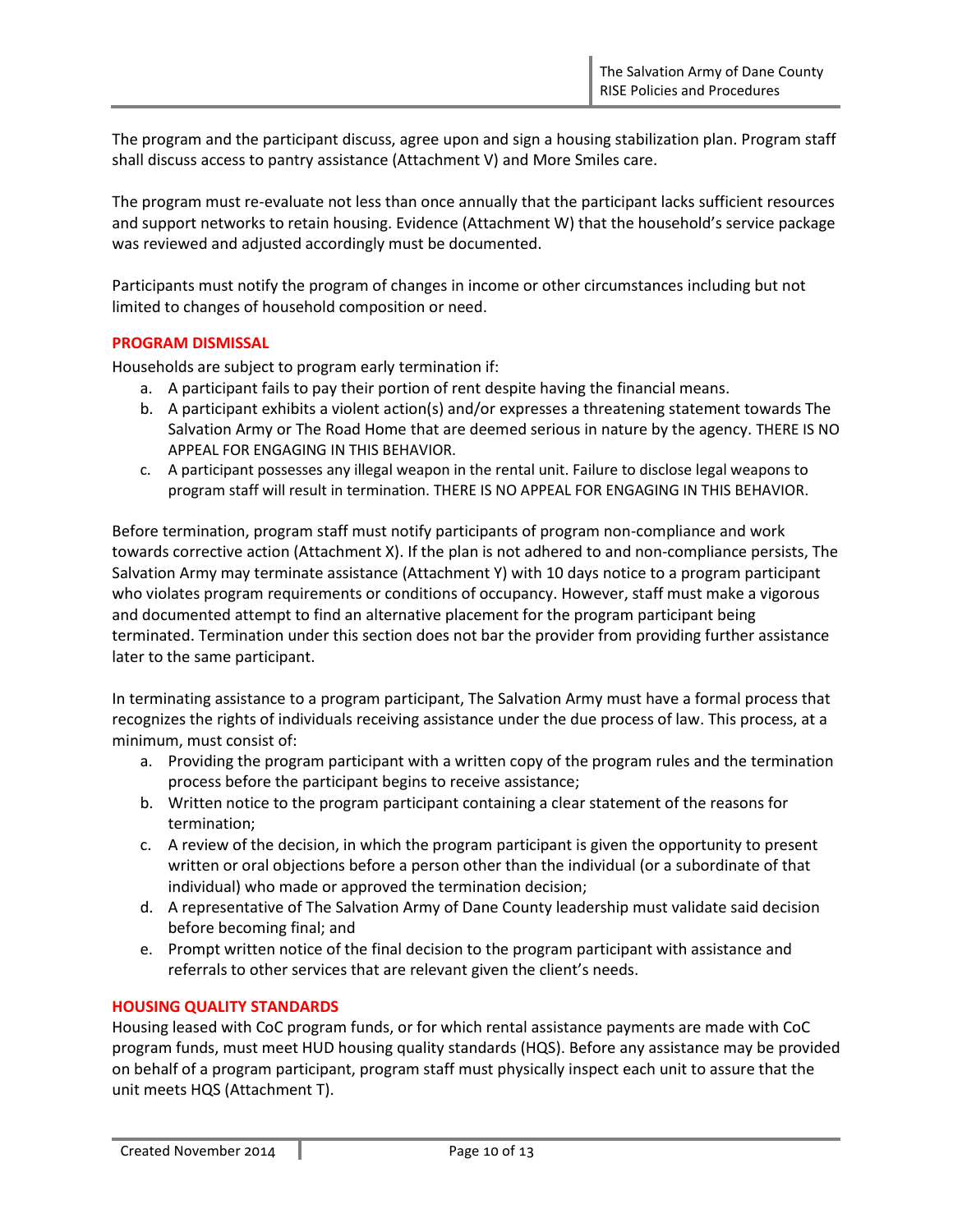The program and the participant discuss, agree upon and sign a housing stabilization plan. Program staff shall discuss access to pantry assistance (Attachment V) and More Smiles care.

The program must re-evaluate not less than once annually that the participant lacks sufficient resources and support networks to retain housing. Evidence (Attachment W) that the household's service package was reviewed and adjusted accordingly must be documented.

Participants must notify the program of changes in income or other circumstances including but not limited to changes of household composition or need.

### **PROGRAM DISMISSAL**

Households are subject to program early termination if:

- a. A participant fails to pay their portion of rent despite having the financial means.
- b. A participant exhibits a violent action(s) and/or expresses a threatening statement towards The Salvation Army or The Road Home that are deemed serious in nature by the agency. THERE IS NO APPEAL FOR ENGAGING IN THIS BEHAVIOR.
- c. A participant possesses any illegal weapon in the rental unit. Failure to disclose legal weapons to program staff will result in termination. THERE IS NO APPEAL FOR ENGAGING IN THIS BEHAVIOR.

Before termination, program staff must notify participants of program non-compliance and work towards corrective action (Attachment X). If the plan is not adhered to and non-compliance persists, The Salvation Army may terminate assistance (Attachment Y) with 10 days notice to a program participant who violates program requirements or conditions of occupancy. However, staff must make a vigorous and documented attempt to find an alternative placement for the program participant being terminated. Termination under this section does not bar the provider from providing further assistance later to the same participant.

In terminating assistance to a program participant, The Salvation Army must have a formal process that recognizes the rights of individuals receiving assistance under the due process of law. This process, at a minimum, must consist of:

- a. Providing the program participant with a written copy of the program rules and the termination process before the participant begins to receive assistance;
- b. Written notice to the program participant containing a clear statement of the reasons for termination;
- c. A review of the decision, in which the program participant is given the opportunity to present written or oral objections before a person other than the individual (or a subordinate of that individual) who made or approved the termination decision;
- d. A representative of The Salvation Army of Dane County leadership must validate said decision before becoming final; and
- e. Prompt written notice of the final decision to the program participant with assistance and referrals to other services that are relevant given the client's needs.

# **HOUSING QUALITY STANDARDS**

Housing leased with CoC program funds, or for which rental assistance payments are made with CoC program funds, must meet HUD housing quality standards (HQS). Before any assistance may be provided on behalf of a program participant, program staff must physically inspect each unit to assure that the unit meets HQS (Attachment T).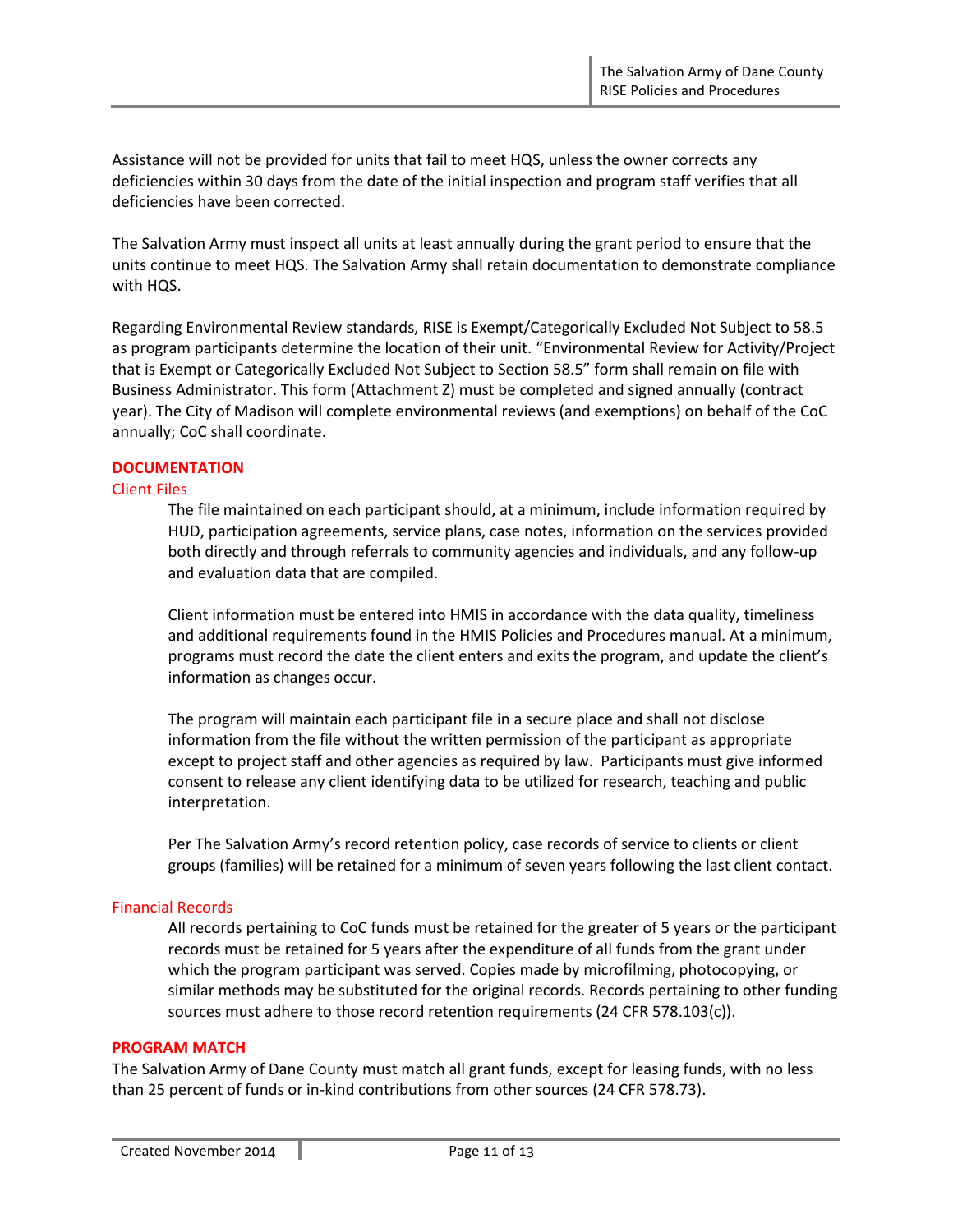Assistance will not be provided for units that fail to meet HQS, unless the owner corrects any deficiencies within 30 days from the date of the initial inspection and program staff verifies that all deficiencies have been corrected.

The Salvation Army must inspect all units at least annually during the grant period to ensure that the units continue to meet HQS. The Salvation Army shall retain documentation to demonstrate compliance with HQS.

Regarding Environmental Review standards, RISE is Exempt/Categorically Excluded Not Subject to 58.5 as program participants determine the location of their unit. "Environmental Review for Activity/Project that is Exempt or Categorically Excluded Not Subject to Section 58.5" form shall remain on file with Business Administrator. This form (Attachment Z) must be completed and signed annually (contract year). The City of Madison will complete environmental reviews (and exemptions) on behalf of the CoC annually; CoC shall coordinate.

### **DOCUMENTATION**

### Client Files

The file maintained on each participant should, at a minimum, include information required by HUD, participation agreements, service plans, case notes, information on the services provided both directly and through referrals to community agencies and individuals, and any follow-up and evaluation data that are compiled.

Client information must be entered into HMIS in accordance with the data quality, timeliness and additional requirements found in the HMIS Policies and Procedures manual. At a minimum, programs must record the date the client enters and exits the program, and update the client's information as changes occur.

The program will maintain each participant file in a secure place and shall not disclose information from the file without the written permission of the participant as appropriate except to project staff and other agencies as required by law. Participants must give informed consent to release any client identifying data to be utilized for research, teaching and public interpretation.

Per The Salvation Army's record retention policy, case records of service to clients or client groups (families) will be retained for a minimum of seven years following the last client contact.

### Financial Records

All records pertaining to CoC funds must be retained for the greater of 5 years or the participant records must be retained for 5 years after the expenditure of all funds from the grant under which the program participant was served. Copies made by microfilming, photocopying, or similar methods may be substituted for the original records. Records pertaining to other funding sources must adhere to those record retention requirements (24 CFR 578.103(c)).

### **PROGRAM MATCH**

The Salvation Army of Dane County must match all grant funds, except for leasing funds, with no less than 25 percent of funds or in-kind contributions from other sources (24 CFR 578.73).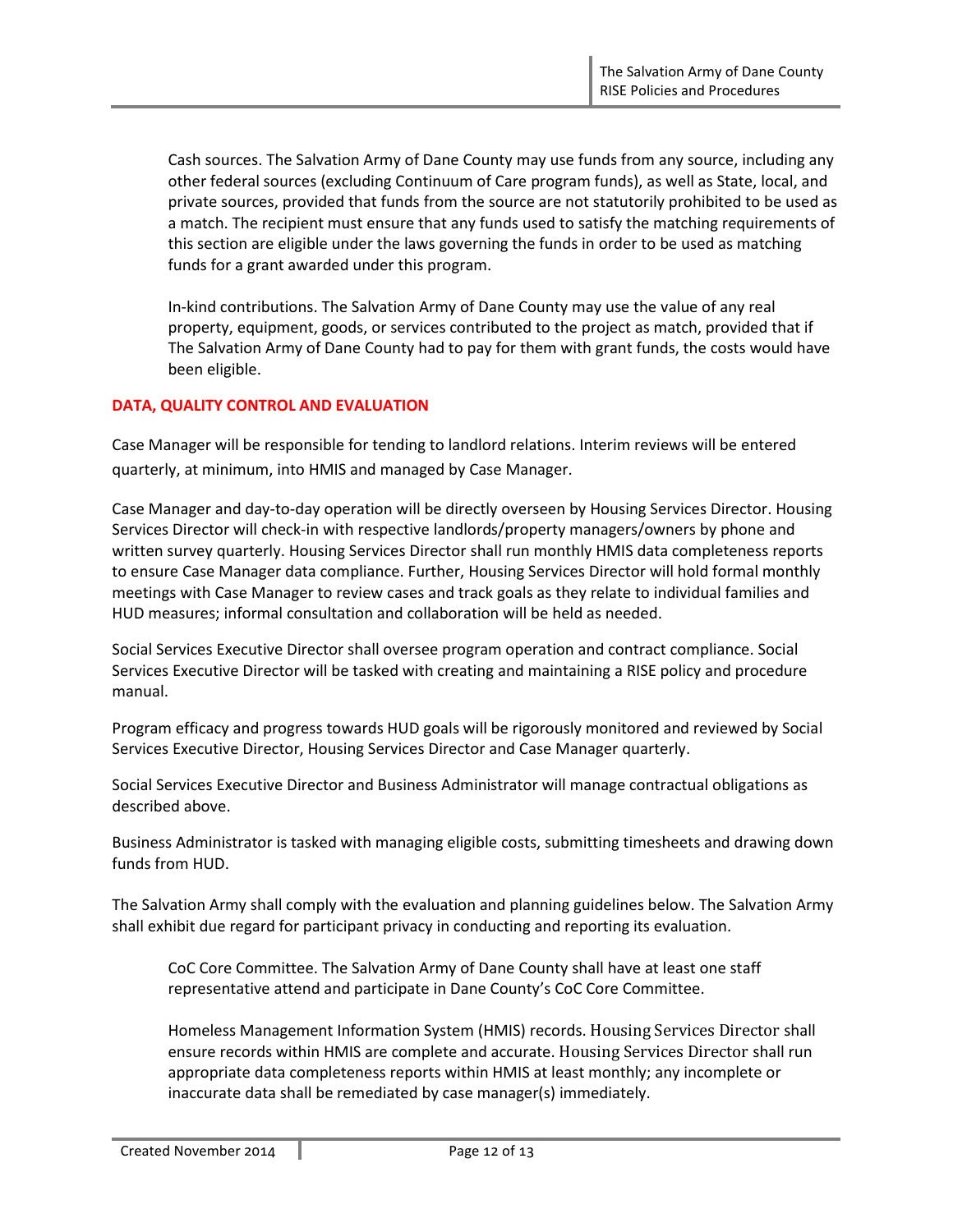Cash sources. The Salvation Army of Dane County may use funds from any source, including any other federal sources (excluding Continuum of Care program funds), as well as State, local, and private sources, provided that funds from the source are not statutorily prohibited to be used as a match. The recipient must ensure that any funds used to satisfy the matching requirements of this section are eligible under the laws governing the funds in order to be used as matching funds for a grant awarded under this program.

In-kind contributions. The Salvation Army of Dane County may use the value of any real property, equipment, goods, or services contributed to the project as match, provided that if The Salvation Army of Dane County had to pay for them with grant funds, the costs would have been eligible.

# **DATA, QUALITY CONTROL AND EVALUATION**

Case Manager will be responsible for tending to landlord relations. Interim reviews will be entered quarterly, at minimum, into HMIS and managed by Case Manager.

Case Manager and day-to-day operation will be directly overseen by Housing Services Director. Housing Services Director will check-in with respective landlords/property managers/owners by phone and written survey quarterly. Housing Services Director shall run monthly HMIS data completeness reports to ensure Case Manager data compliance. Further, Housing Services Director will hold formal monthly meetings with Case Manager to review cases and track goals as they relate to individual families and HUD measures; informal consultation and collaboration will be held as needed.

Social Services Executive Director shall oversee program operation and contract compliance. Social Services Executive Director will be tasked with creating and maintaining a RISE policy and procedure manual.

Program efficacy and progress towards HUD goals will be rigorously monitored and reviewed by Social Services Executive Director, Housing Services Director and Case Manager quarterly.

Social Services Executive Director and Business Administrator will manage contractual obligations as described above.

Business Administrator is tasked with managing eligible costs, submitting timesheets and drawing down funds from HUD.

The Salvation Army shall comply with the evaluation and planning guidelines below. The Salvation Army shall exhibit due regard for participant privacy in conducting and reporting its evaluation.

CoC Core Committee. The Salvation Army of Dane County shall have at least one staff representative attend and participate in Dane County's CoC Core Committee.

Homeless Management Information System (HMIS) records. Housing Services Director shall ensure records within HMIS are complete and accurate. Housing Services Director shall run appropriate data completeness reports within HMIS at least monthly; any incomplete or inaccurate data shall be remediated by case manager(s) immediately.